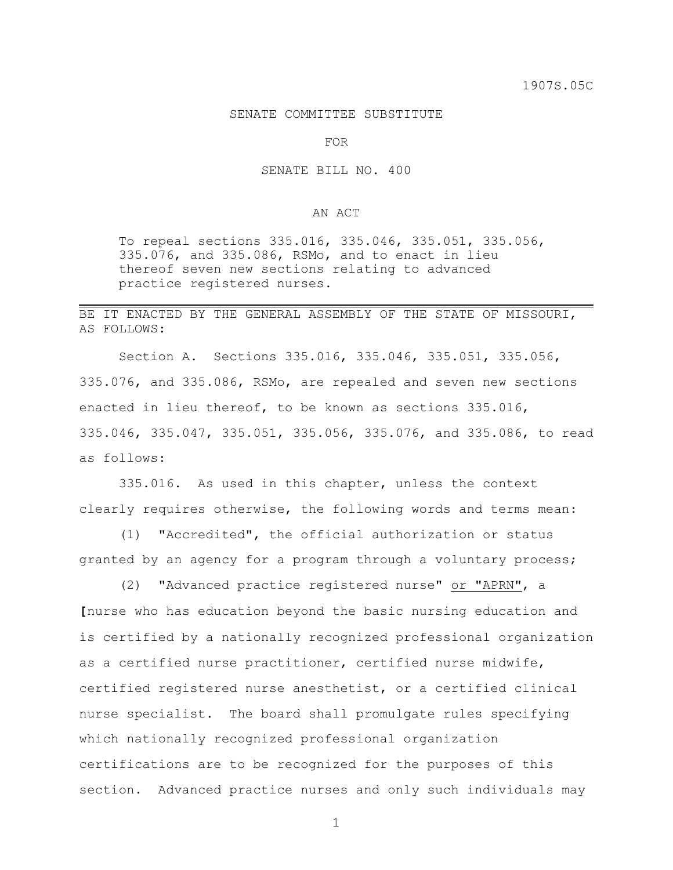## SENATE COMMITTEE SUBSTITUTE

FOR

SENATE BILL NO. 400

## AN ACT

To repeal sections 335.016, 335.046, 335.051, 335.056, 335.076, and 335.086, RSMo, and to enact in lieu thereof seven new sections relating to advanced practice registered nurses.

## BE IT ENACTED BY THE GENERAL ASSEMBLY OF THE STATE OF MISSOURI, AS FOLLOWS:

Section A. Sections 335.016, 335.046, 335.051, 335.056, 335.076, and 335.086, RSMo, are repealed and seven new sections enacted in lieu thereof, to be known as sections 335.016, 335.046, 335.047, 335.051, 335.056, 335.076, and 335.086, to read as follows:

335.016. As used in this chapter, unless the context clearly requires otherwise, the following words and terms mean:

(1) "Accredited", the official authorization or status granted by an agency for a program through a voluntary process;

(2) "Advanced practice registered nurse" or "APRN", a **[**nurse who has education beyond the basic nursing education and is certified by a nationally recognized professional organization as a certified nurse practitioner, certified nurse midwife, certified registered nurse anesthetist, or a certified clinical nurse specialist. The board shall promulgate rules specifying which nationally recognized professional organization certifications are to be recognized for the purposes of this section. Advanced practice nurses and only such individuals may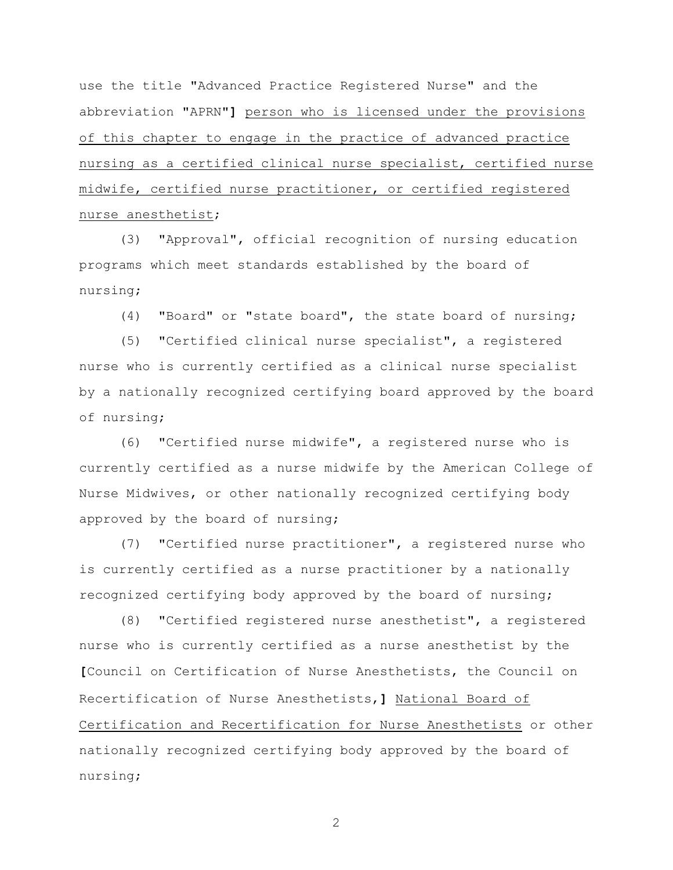use the title "Advanced Practice Registered Nurse" and the abbreviation "APRN"**]** person who is licensed under the provisions of this chapter to engage in the practice of advanced practice nursing as a certified clinical nurse specialist, certified nurse midwife, certified nurse practitioner, or certified registered nurse anesthetist;

(3) "Approval", official recognition of nursing education programs which meet standards established by the board of nursing;

(4) "Board" or "state board", the state board of nursing;

(5) "Certified clinical nurse specialist", a registered nurse who is currently certified as a clinical nurse specialist by a nationally recognized certifying board approved by the board of nursing;

(6) "Certified nurse midwife", a registered nurse who is currently certified as a nurse midwife by the American College of Nurse Midwives, or other nationally recognized certifying body approved by the board of nursing;

(7) "Certified nurse practitioner", a registered nurse who is currently certified as a nurse practitioner by a nationally recognized certifying body approved by the board of nursing;

(8) "Certified registered nurse anesthetist", a registered nurse who is currently certified as a nurse anesthetist by the **[**Council on Certification of Nurse Anesthetists, the Council on Recertification of Nurse Anesthetists,**]** National Board of Certification and Recertification for Nurse Anesthetists or other nationally recognized certifying body approved by the board of nursing;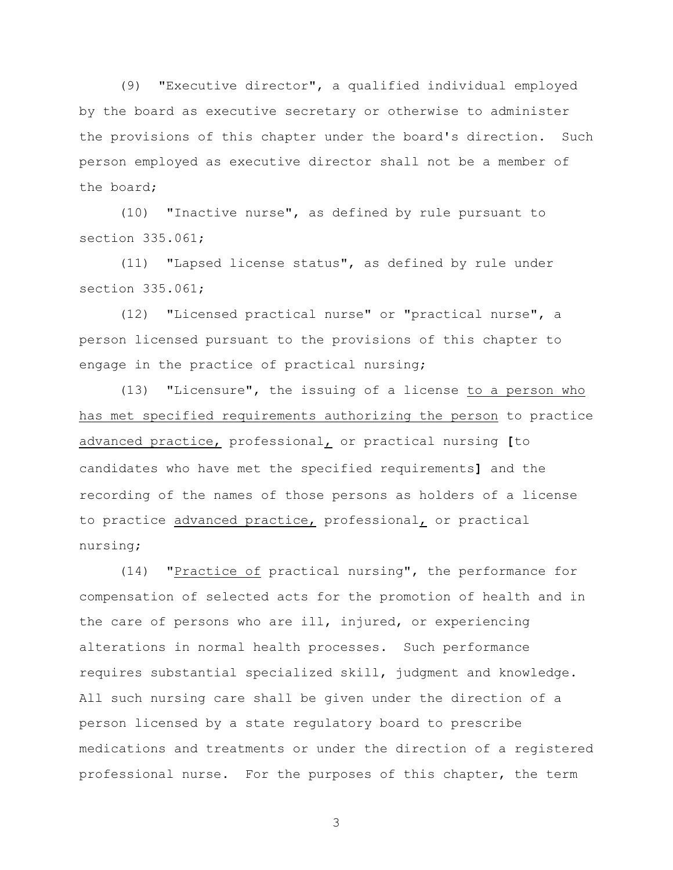(9) "Executive director", a qualified individual employed by the board as executive secretary or otherwise to administer the provisions of this chapter under the board's direction. Such person employed as executive director shall not be a member of the board;

(10) "Inactive nurse", as defined by rule pursuant to section 335.061;

(11) "Lapsed license status", as defined by rule under section 335.061;

(12) "Licensed practical nurse" or "practical nurse", a person licensed pursuant to the provisions of this chapter to engage in the practice of practical nursing;

(13) "Licensure", the issuing of a license to a person who has met specified requirements authorizing the person to practice advanced practice, professional, or practical nursing **[**to candidates who have met the specified requirements**]** and the recording of the names of those persons as holders of a license to practice advanced practice, professional, or practical nursing;

(14) "Practice of practical nursing", the performance for compensation of selected acts for the promotion of health and in the care of persons who are ill, injured, or experiencing alterations in normal health processes. Such performance requires substantial specialized skill, judgment and knowledge. All such nursing care shall be given under the direction of a person licensed by a state regulatory board to prescribe medications and treatments or under the direction of a registered professional nurse. For the purposes of this chapter, the term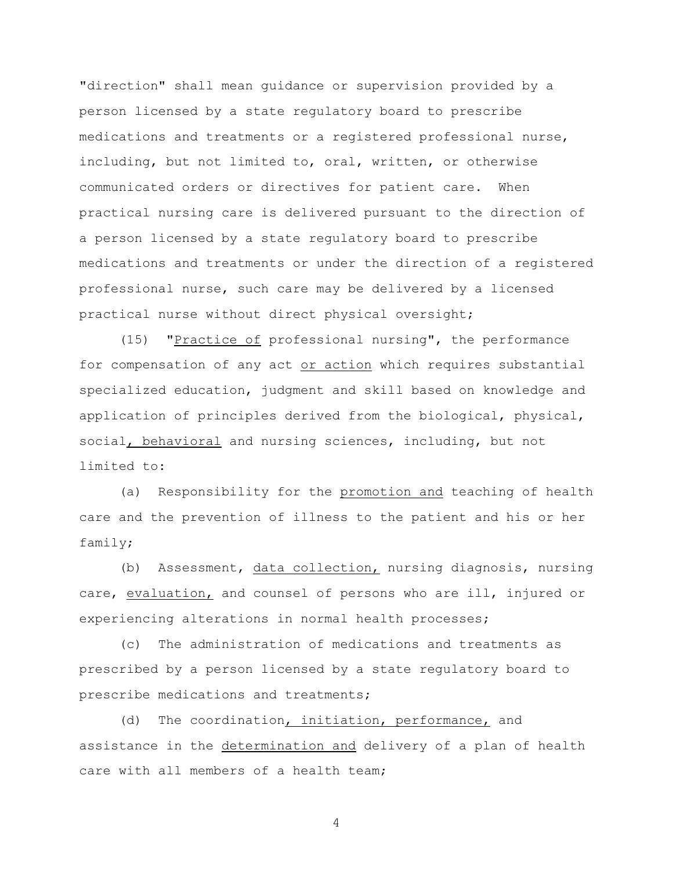"direction" shall mean guidance or supervision provided by a person licensed by a state regulatory board to prescribe medications and treatments or a registered professional nurse, including, but not limited to, oral, written, or otherwise communicated orders or directives for patient care. When practical nursing care is delivered pursuant to the direction of a person licensed by a state regulatory board to prescribe medications and treatments or under the direction of a registered professional nurse, such care may be delivered by a licensed practical nurse without direct physical oversight;

(15) "Practice of professional nursing", the performance for compensation of any act or action which requires substantial specialized education, judgment and skill based on knowledge and application of principles derived from the biological, physical, social, behavioral and nursing sciences, including, but not limited to:

(a) Responsibility for the promotion and teaching of health care and the prevention of illness to the patient and his or her family;

(b) Assessment, data collection, nursing diagnosis, nursing care, evaluation, and counsel of persons who are ill, injured or experiencing alterations in normal health processes;

(c) The administration of medications and treatments as prescribed by a person licensed by a state regulatory board to prescribe medications and treatments;

(d) The coordination, initiation, performance, and assistance in the determination and delivery of a plan of health care with all members of a health team;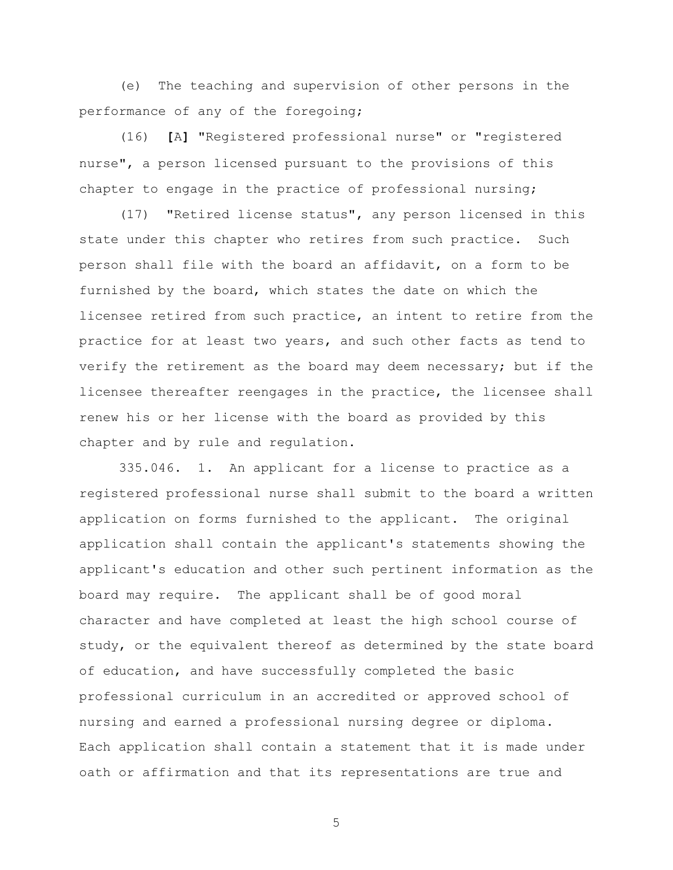(e) The teaching and supervision of other persons in the performance of any of the foregoing;

(16) **[**A**]** "Registered professional nurse" or "registered nurse", a person licensed pursuant to the provisions of this chapter to engage in the practice of professional nursing;

(17) "Retired license status", any person licensed in this state under this chapter who retires from such practice. Such person shall file with the board an affidavit, on a form to be furnished by the board, which states the date on which the licensee retired from such practice, an intent to retire from the practice for at least two years, and such other facts as tend to verify the retirement as the board may deem necessary; but if the licensee thereafter reengages in the practice, the licensee shall renew his or her license with the board as provided by this chapter and by rule and regulation.

335.046. 1. An applicant for a license to practice as a registered professional nurse shall submit to the board a written application on forms furnished to the applicant. The original application shall contain the applicant's statements showing the applicant's education and other such pertinent information as the board may require. The applicant shall be of good moral character and have completed at least the high school course of study, or the equivalent thereof as determined by the state board of education, and have successfully completed the basic professional curriculum in an accredited or approved school of nursing and earned a professional nursing degree or diploma. Each application shall contain a statement that it is made under oath or affirmation and that its representations are true and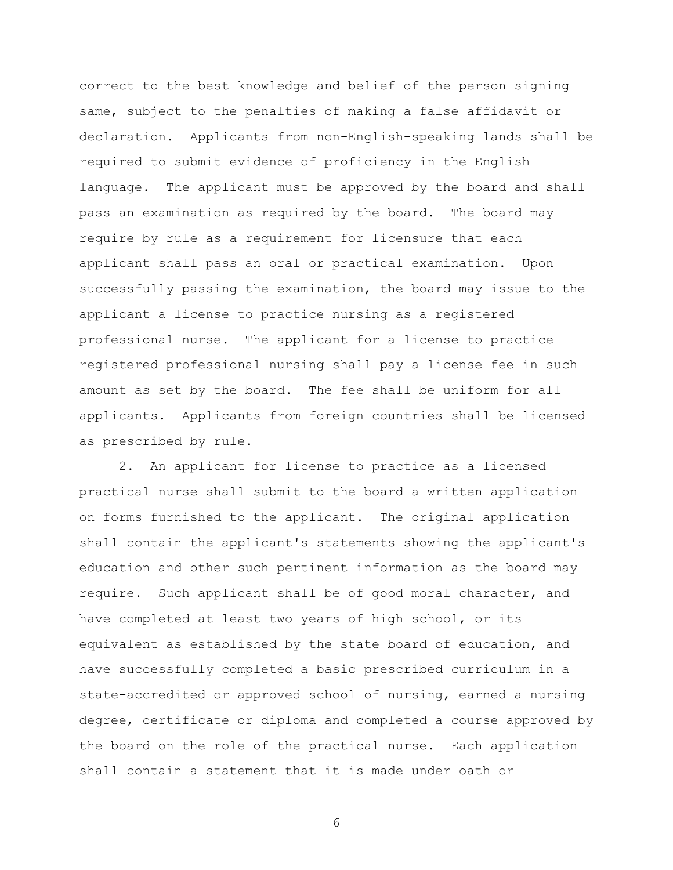correct to the best knowledge and belief of the person signing same, subject to the penalties of making a false affidavit or declaration. Applicants from non-English-speaking lands shall be required to submit evidence of proficiency in the English language. The applicant must be approved by the board and shall pass an examination as required by the board. The board may require by rule as a requirement for licensure that each applicant shall pass an oral or practical examination. Upon successfully passing the examination, the board may issue to the applicant a license to practice nursing as a registered professional nurse. The applicant for a license to practice registered professional nursing shall pay a license fee in such amount as set by the board. The fee shall be uniform for all applicants. Applicants from foreign countries shall be licensed as prescribed by rule.

2. An applicant for license to practice as a licensed practical nurse shall submit to the board a written application on forms furnished to the applicant. The original application shall contain the applicant's statements showing the applicant's education and other such pertinent information as the board may require. Such applicant shall be of good moral character, and have completed at least two years of high school, or its equivalent as established by the state board of education, and have successfully completed a basic prescribed curriculum in a state-accredited or approved school of nursing, earned a nursing degree, certificate or diploma and completed a course approved by the board on the role of the practical nurse. Each application shall contain a statement that it is made under oath or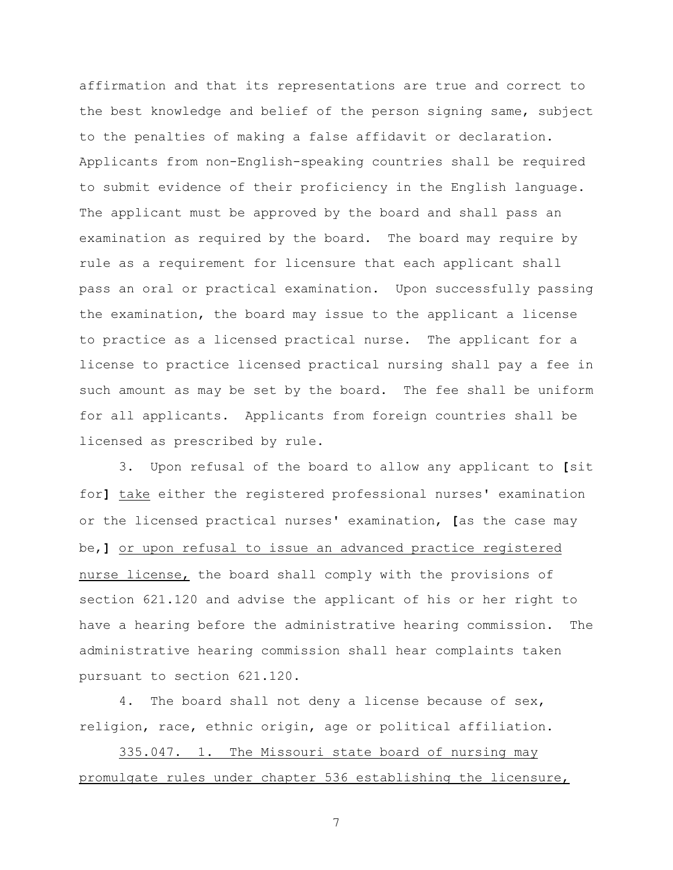affirmation and that its representations are true and correct to the best knowledge and belief of the person signing same, subject to the penalties of making a false affidavit or declaration. Applicants from non-English-speaking countries shall be required to submit evidence of their proficiency in the English language. The applicant must be approved by the board and shall pass an examination as required by the board. The board may require by rule as a requirement for licensure that each applicant shall pass an oral or practical examination. Upon successfully passing the examination, the board may issue to the applicant a license to practice as a licensed practical nurse. The applicant for a license to practice licensed practical nursing shall pay a fee in such amount as may be set by the board. The fee shall be uniform for all applicants. Applicants from foreign countries shall be licensed as prescribed by rule.

3. Upon refusal of the board to allow any applicant to **[**sit for**]** take either the registered professional nurses' examination or the licensed practical nurses' examination, **[**as the case may be,**]** or upon refusal to issue an advanced practice registered nurse license, the board shall comply with the provisions of section 621.120 and advise the applicant of his or her right to have a hearing before the administrative hearing commission. The administrative hearing commission shall hear complaints taken pursuant to section 621.120.

4. The board shall not deny a license because of sex, religion, race, ethnic origin, age or political affiliation.

335.047. 1. The Missouri state board of nursing may promulgate rules under chapter 536 establishing the licensure,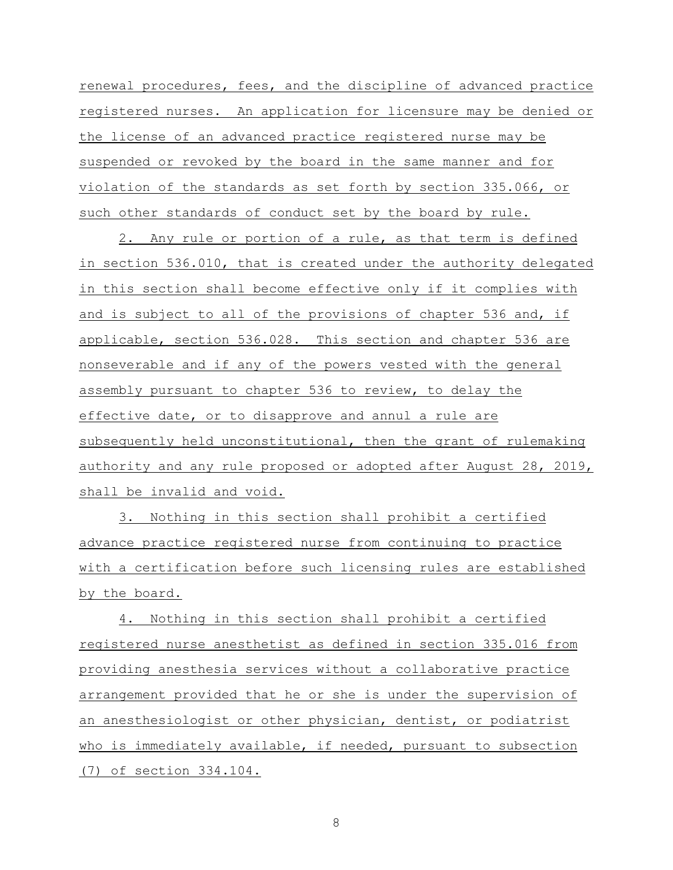renewal procedures, fees, and the discipline of advanced practice registered nurses. An application for licensure may be denied or the license of an advanced practice registered nurse may be suspended or revoked by the board in the same manner and for violation of the standards as set forth by section 335.066, or such other standards of conduct set by the board by rule.

2. Any rule or portion of a rule, as that term is defined in section 536.010, that is created under the authority delegated in this section shall become effective only if it complies with and is subject to all of the provisions of chapter 536 and, if applicable, section 536.028. This section and chapter 536 are nonseverable and if any of the powers vested with the general assembly pursuant to chapter 536 to review, to delay the effective date, or to disapprove and annul a rule are subsequently held unconstitutional, then the grant of rulemaking authority and any rule proposed or adopted after August 28, 2019, shall be invalid and void.

3. Nothing in this section shall prohibit a certified advance practice registered nurse from continuing to practice with a certification before such licensing rules are established by the board.

4. Nothing in this section shall prohibit a certified registered nurse anesthetist as defined in section 335.016 from providing anesthesia services without a collaborative practice arrangement provided that he or she is under the supervision of an anesthesiologist or other physician, dentist, or podiatrist who is immediately available, if needed, pursuant to subsection (7) of section 334.104.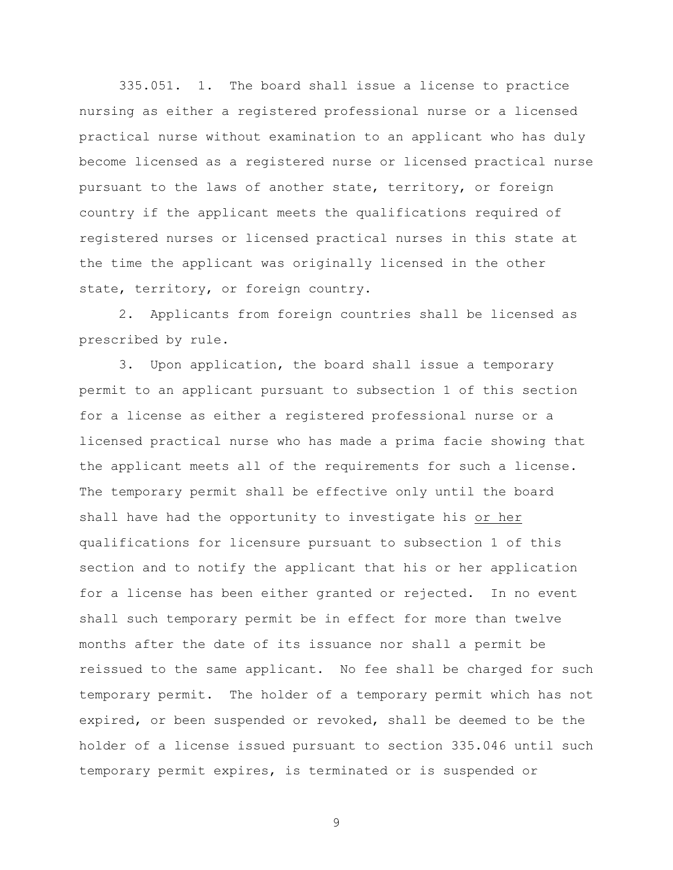335.051. 1. The board shall issue a license to practice nursing as either a registered professional nurse or a licensed practical nurse without examination to an applicant who has duly become licensed as a registered nurse or licensed practical nurse pursuant to the laws of another state, territory, or foreign country if the applicant meets the qualifications required of registered nurses or licensed practical nurses in this state at the time the applicant was originally licensed in the other state, territory, or foreign country.

2. Applicants from foreign countries shall be licensed as prescribed by rule.

3. Upon application, the board shall issue a temporary permit to an applicant pursuant to subsection 1 of this section for a license as either a registered professional nurse or a licensed practical nurse who has made a prima facie showing that the applicant meets all of the requirements for such a license. The temporary permit shall be effective only until the board shall have had the opportunity to investigate his or her qualifications for licensure pursuant to subsection 1 of this section and to notify the applicant that his or her application for a license has been either granted or rejected. In no event shall such temporary permit be in effect for more than twelve months after the date of its issuance nor shall a permit be reissued to the same applicant. No fee shall be charged for such temporary permit. The holder of a temporary permit which has not expired, or been suspended or revoked, shall be deemed to be the holder of a license issued pursuant to section 335.046 until such temporary permit expires, is terminated or is suspended or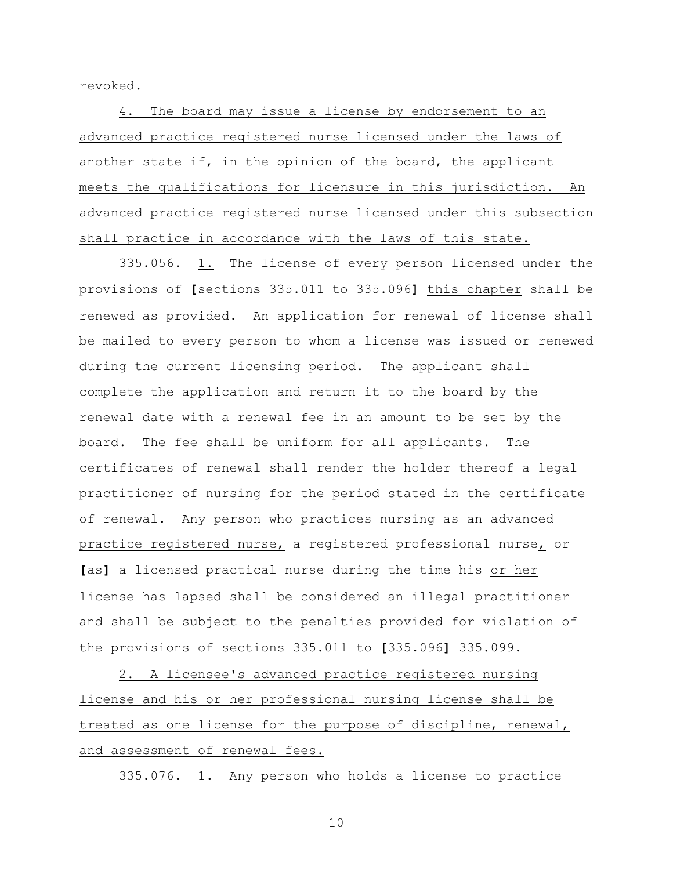revoked.

4. The board may issue a license by endorsement to an advanced practice registered nurse licensed under the laws of another state if, in the opinion of the board, the applicant meets the qualifications for licensure in this jurisdiction. An advanced practice registered nurse licensed under this subsection shall practice in accordance with the laws of this state.

335.056. 1. The license of every person licensed under the provisions of **[**sections 335.011 to 335.096**]** this chapter shall be renewed as provided. An application for renewal of license shall be mailed to every person to whom a license was issued or renewed during the current licensing period. The applicant shall complete the application and return it to the board by the renewal date with a renewal fee in an amount to be set by the board. The fee shall be uniform for all applicants. The certificates of renewal shall render the holder thereof a legal practitioner of nursing for the period stated in the certificate of renewal. Any person who practices nursing as an advanced practice registered nurse, a registered professional nurse, or **[**as**]** a licensed practical nurse during the time his or her license has lapsed shall be considered an illegal practitioner and shall be subject to the penalties provided for violation of the provisions of sections 335.011 to **[**335.096**]** 335.099.

2. A licensee's advanced practice registered nursing license and his or her professional nursing license shall be treated as one license for the purpose of discipline, renewal, and assessment of renewal fees.

335.076. 1. Any person who holds a license to practice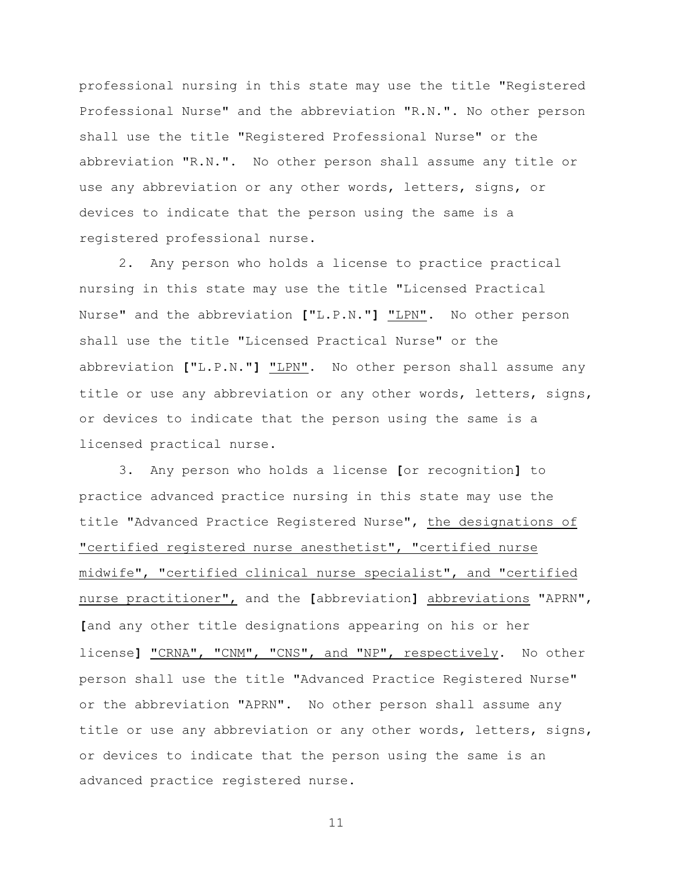professional nursing in this state may use the title "Registered Professional Nurse" and the abbreviation "R.N.". No other person shall use the title "Registered Professional Nurse" or the abbreviation "R.N.". No other person shall assume any title or use any abbreviation or any other words, letters, signs, or devices to indicate that the person using the same is a registered professional nurse.

2. Any person who holds a license to practice practical nursing in this state may use the title "Licensed Practical Nurse" and the abbreviation **[**"L.P.N."**]** "LPN". No other person shall use the title "Licensed Practical Nurse" or the abbreviation **[**"L.P.N."**]** "LPN". No other person shall assume any title or use any abbreviation or any other words, letters, signs, or devices to indicate that the person using the same is a licensed practical nurse.

3. Any person who holds a license **[**or recognition**]** to practice advanced practice nursing in this state may use the title "Advanced Practice Registered Nurse", the designations of "certified registered nurse anesthetist", "certified nurse midwife", "certified clinical nurse specialist", and "certified nurse practitioner", and the **[**abbreviation**]** abbreviations "APRN", **[**and any other title designations appearing on his or her license**]** "CRNA", "CNM", "CNS", and "NP", respectively. No other person shall use the title "Advanced Practice Registered Nurse" or the abbreviation "APRN". No other person shall assume any title or use any abbreviation or any other words, letters, signs, or devices to indicate that the person using the same is an advanced practice registered nurse.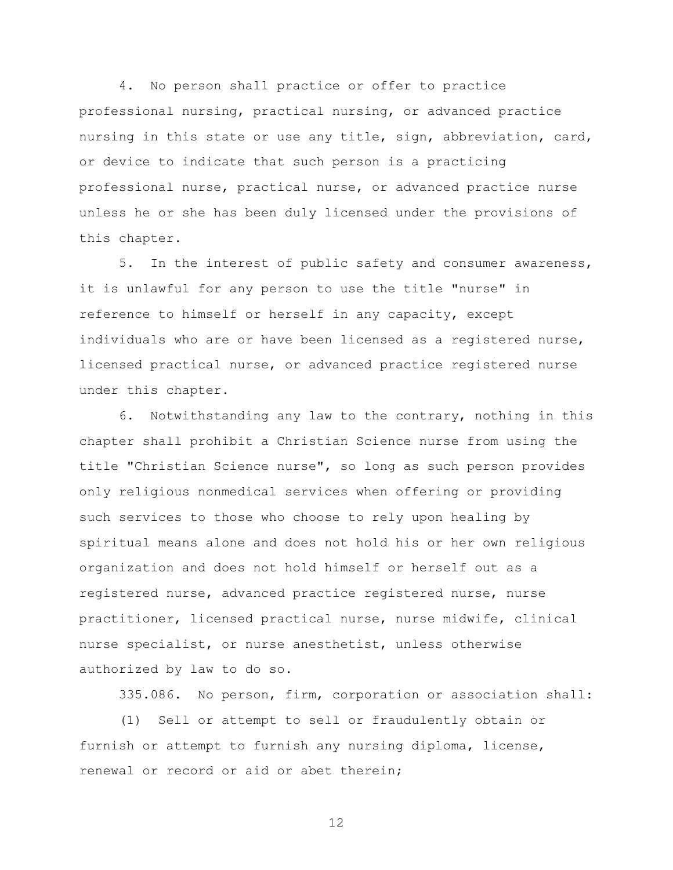4. No person shall practice or offer to practice professional nursing, practical nursing, or advanced practice nursing in this state or use any title, sign, abbreviation, card, or device to indicate that such person is a practicing professional nurse, practical nurse, or advanced practice nurse unless he or she has been duly licensed under the provisions of this chapter.

5. In the interest of public safety and consumer awareness, it is unlawful for any person to use the title "nurse" in reference to himself or herself in any capacity, except individuals who are or have been licensed as a registered nurse, licensed practical nurse, or advanced practice registered nurse under this chapter.

6. Notwithstanding any law to the contrary, nothing in this chapter shall prohibit a Christian Science nurse from using the title "Christian Science nurse", so long as such person provides only religious nonmedical services when offering or providing such services to those who choose to rely upon healing by spiritual means alone and does not hold his or her own religious organization and does not hold himself or herself out as a registered nurse, advanced practice registered nurse, nurse practitioner, licensed practical nurse, nurse midwife, clinical nurse specialist, or nurse anesthetist, unless otherwise authorized by law to do so.

335.086. No person, firm, corporation or association shall:

(1) Sell or attempt to sell or fraudulently obtain or furnish or attempt to furnish any nursing diploma, license, renewal or record or aid or abet therein;